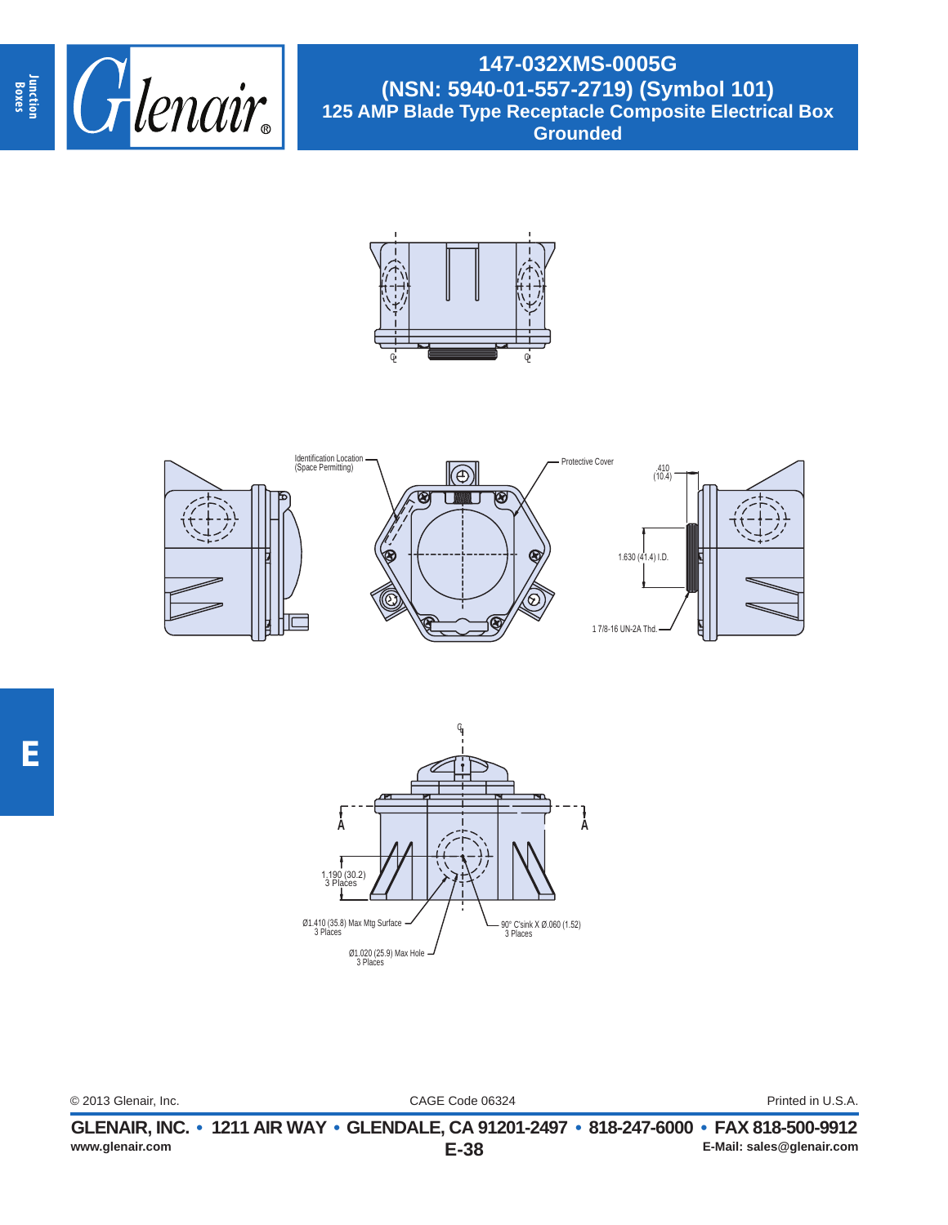

**147-032XMS-0005G (NSN: 5940-01-557-2719) (Symbol 101) 125 AMP Blade Type Receptacle Composite Electrical Box Grounded**







CAGE Code 06324 © 2013 Glenair, Inc. Printed in U.S.A.